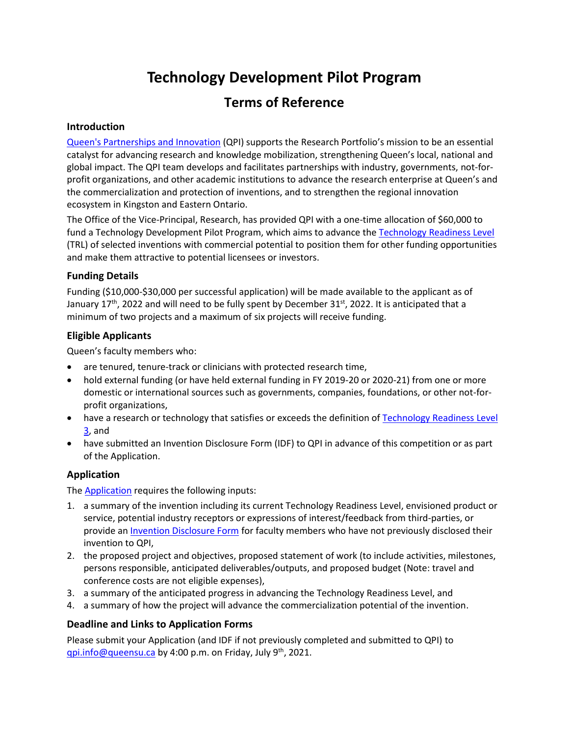# **Technology Development Pilot Program**

# **Terms of Reference**

#### **Introduction**

[Queen's Partnerships and Innovation](https://www.queensu.ca/partnershipsandinnovation/home) (QPI) supports the Research Portfolio's mission to be an essential catalyst for advancing research and knowledge mobilization, strengthening Queen's local, national and global impact. The QPI team develops and facilitates partnerships with industry, governments, not-forprofit organizations, and other academic institutions to advance the research enterprise at Queen's and the commercialization and protection of inventions, and to strengthen the regional innovation ecosystem in Kingston and Eastern Ontario.

The Office of the Vice-Principal, Research, has provided QPI with a one-time allocation of \$60,000 to fund a Technology Development Pilot Program, which aims to advance th[e Technology Readiness Level](https://www.ic.gc.ca/eic/site/080.nsf/eng/00002.html) (TRL) of selected inventions with commercial potential to position them for other funding opportunities and make them attractive to potential licensees or investors.

#### **Funding Details**

Funding (\$10,000-\$30,000 per successful application) will be made available to the applicant as of January 17<sup>th</sup>, 2022 and will need to be fully spent by December 31<sup>st</sup>, 2022. It is anticipated that a minimum of two projects and a maximum of six projects will receive funding.

#### **Eligible Applicants**

Queen's faculty members who:

- are tenured, tenure-track or clinicians with protected research time,
- hold external funding (or have held external funding in FY 2019-20 or 2020-21) from one or more domestic or international sources such as governments, companies, foundations, or other not-forprofit organizations,
- have a research or technology that satisfies or exceeds the definition of [Technology Readiness](https://www.ic.gc.ca/eic/site/080.nsf/eng/00002.html) Level [3,](https://www.ic.gc.ca/eic/site/080.nsf/eng/00002.html) and
- have submitted an Invention Disclosure Form (IDF) to QPI in advance of this competition or as part of the Application.

## **Application**

The [Application](https://www.queensu.ca/partnershipsandinnovation/technology-development-pilot-program) requires the following inputs:

- 1. a summary of the invention including its current Technology Readiness Level, envisioned product or service, potential industry receptors or expressions of interest/feedback from third-parties, or provide an [Invention Disclosure Form](https://www.queensu.ca/partnershipsandinnovation/researchers-industry%C2%A0and-other-external-organizations/services-queens-faculty-members%C2%A0and%C2%A0research-1) for faculty members who have not previously disclosed their invention to QPI,
- 2. the proposed project and objectives, proposed statement of work (to include activities, milestones, persons responsible, anticipated deliverables/outputs, and proposed budget (Note: travel and conference costs are not eligible expenses),
- 3. a summary of the anticipated progress in advancing the Technology Readiness Level, and
- 4. a summary of how the project will advance the commercialization potential of the invention.

## **Deadline and Links to Application Forms**

Please submit your Application (and IDF if not previously completed and submitted to QPI) to gpi.info@queensu.ca by 4:00 p.m. on Friday, July 9<sup>th</sup>, 2021.